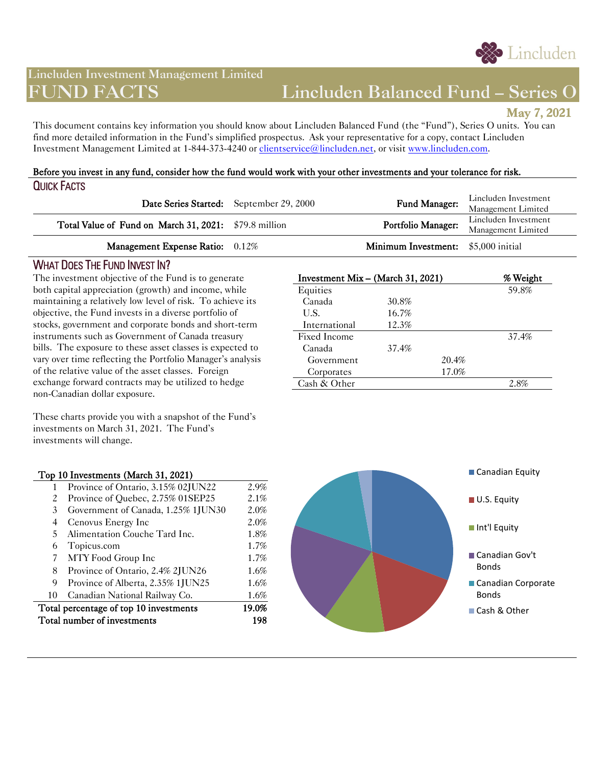

# **Lincluden Investment Management Limited**

# **FUND FACTS Lincluden Balanced Fund – Series O**

**May 7, 2021** 

This document contains key information you should know about Lincluden Balanced Fund (the "Fund"), Series O units. You can find more detailed information in the Fund's simplified prospectus. Ask your representative for a copy, contact Lincluden Investment Management Limited at 1-844-373-4240 or *clientservice@lincluden.net*, or visit [www.lincluden.com.](http://www.lincluden.com/)

#### Before you invest in any fund, consider how the fund would work with your other investments and your tolerance for risk. QUICK FACTS

|                                                       | Date Series Started: September 29, 2000 | Fund Manager:                              | Lincluden Investment<br>Management Limited |
|-------------------------------------------------------|-----------------------------------------|--------------------------------------------|--------------------------------------------|
| Total Value of Fund on March 31, 2021: \$79.8 million |                                         | Portfolio Manager:                         | Lincluden Investment<br>Management Limited |
| Management Expense Ratio: 0.12%                       |                                         | <b>Minimum Investment:</b> \$5,000 initial |                                            |

## WHAT DOES THE FUND INVEST IN?

The investment objective of the Fund is to generate both capital appreciation (growth) and income, while maintaining a relatively low level of risk. To achieve its objective, the Fund invests in a diverse portfolio of stocks, government and corporate bonds and short-term instruments such as Government of Canada treasury bills. The exposure to these asset classes is expected to vary over time reflecting the Portfolio Manager's analysis of the relative value of the asset classes. Foreign exchange forward contracts may be utilized to hedge non-Canadian dollar exposure.

| Investment Mix - (March 31, 2021) |       |       | % Weight |
|-----------------------------------|-------|-------|----------|
| Equities                          |       |       | 59.8%    |
| Canada                            | 30.8% |       |          |
| U.S.                              | 16.7% |       |          |
| International                     | 12.3% |       |          |
| Fixed Income                      |       |       | 37.4%    |
| Canada                            | 37.4% |       |          |
| Government                        |       | 20.4% |          |
| Corporates                        |       | 17.0% |          |
| Cash $&$ Other                    |       |       | 2.8%     |

These charts provide you with a snapshot of the Fund's investments on March 31, 2021. The Fund's investments will change.

#### Top 10 Investments (March 31, 2021)

| Total number of investments            |                                    | 198   |
|----------------------------------------|------------------------------------|-------|
| Total percentage of top 10 investments |                                    | 19.0% |
| 10                                     | Canadian National Railway Co.      | 1.6%  |
| 9                                      | Province of Alberta, 2.35% 1JUN25  | 1.6%  |
| 8                                      | Province of Ontario, 2.4% 2JUN26   | 1.6%  |
| 7                                      | MTY Food Group Inc                 | 1.7%  |
| 6                                      | Topicus.com                        | 1.7%  |
| 5.                                     | Alimentation Couche Tard Inc.      | 1.8%  |
| 4                                      | Cenovus Energy Inc                 | 2.0%  |
| 3                                      | Government of Canada, 1.25% 1JUN30 | 2.0%  |
| 2                                      | Province of Quebec, 2.75% 01SEP25  | 2.1%  |
|                                        | Province of Ontario, 3.15% 02JUN22 | 2.9%  |

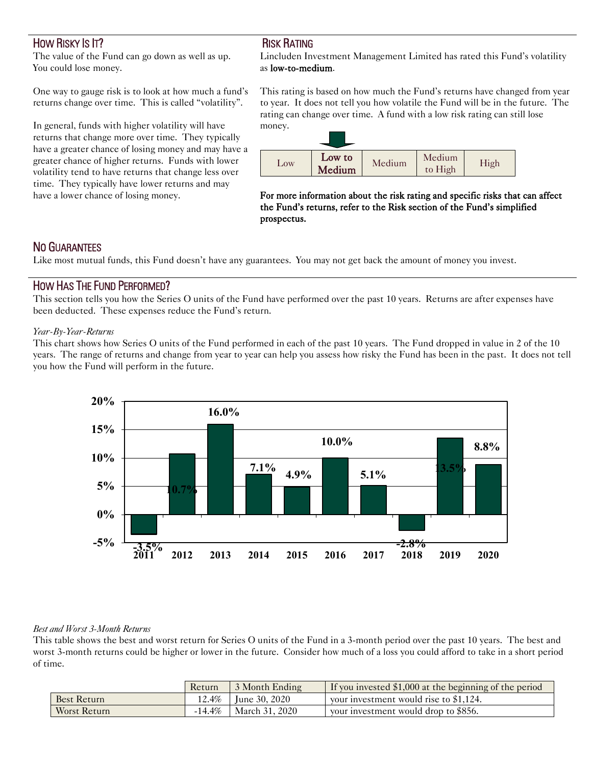# HOW RISKY IS IT?

The value of the Fund can go down as well as up. You could lose money.

One way to gauge risk is to look at how much a fund's returns change over time. This is called "volatility".

In general, funds with higher volatility will have returns that change more over time. They typically have a greater chance of losing money and may have a greater chance of higher returns. Funds with lower volatility tend to have returns that change less over time. They typically have lower returns and may have a lower chance of losing money.

# RISK RATING

Lincluden Investment Management Limited has rated this Fund's volatility as low-to-medium.

This rating is based on how much the Fund's returns have changed from year to year. It does not tell you how volatile the Fund will be in the future. The rating can change over time. A fund with a low risk rating can still lose money.



For more information about the risk rating and specific risks that can affect the Fund's returns, refer to the Risk section of the Fund's simplified prospectus.

# NO GUARANTEES

Like most mutual funds, this Fund doesn't have any guarantees. You may not get back the amount of money you invest.

## HOW HAS THE FUND PERFORMED?

This section tells you how the Series O units of the Fund have performed over the past 10 years. Returns are after expenses have been deducted. These expenses reduce the Fund's return.

#### *Year-By-Year-Returns*

This chart shows how Series O units of the Fund performed in each of the past 10 years. The Fund dropped in value in 2 of the 10 years. The range of returns and change from year to year can help you assess how risky the Fund has been in the past. It does not tell you how the Fund will perform in the future.



#### *Best and Worst 3-Month Returns*

This table shows the best and worst return for Series O units of the Fund in a 3-month period over the past 10 years. The best and worst 3-month returns could be higher or lower in the future. Consider how much of a loss you could afford to take in a short period of time.

|                    | Return    | 3 Month Ending         | If you invested $$1,000$ at the beginning of the period |
|--------------------|-----------|------------------------|---------------------------------------------------------|
| <b>Best Return</b> |           | 12.4\%   June 30, 2020 | vour investment would rise to $$1,124$ .                |
| Worst Return       | $-14.4\%$ | March 31, 2020         | your investment would drop to \$856.                    |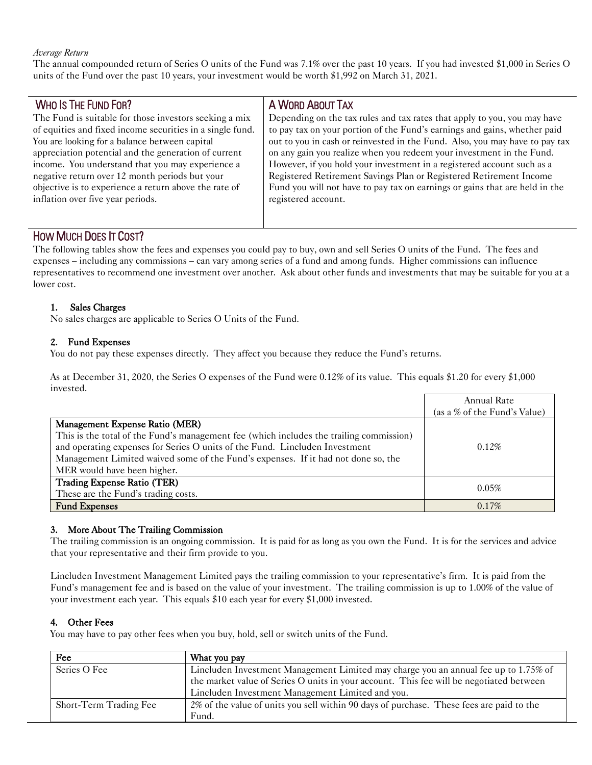#### *Average Return*

The annual compounded return of Series O units of the Fund was 7.1% over the past 10 years. If you had invested \$1,000 in Series O units of the Fund over the past 10 years, your investment would be worth \$1,992 on March 31, 2021.

| <b>WHO IS THE FUND FOR?</b>                                                                                                                                                                                                                                                                                                                                                                                                      | A WORD ABOUT TAX                                                                                                                                                                                                                                                                                                                                                                                                                                                                                                                                                   |
|----------------------------------------------------------------------------------------------------------------------------------------------------------------------------------------------------------------------------------------------------------------------------------------------------------------------------------------------------------------------------------------------------------------------------------|--------------------------------------------------------------------------------------------------------------------------------------------------------------------------------------------------------------------------------------------------------------------------------------------------------------------------------------------------------------------------------------------------------------------------------------------------------------------------------------------------------------------------------------------------------------------|
| The Fund is suitable for those investors seeking a mix<br>of equities and fixed income securities in a single fund.<br>You are looking for a balance between capital<br>appreciation potential and the generation of current<br>income. You understand that you may experience a<br>negative return over 12 month periods but your<br>objective is to experience a return above the rate of<br>inflation over five year periods. | Depending on the tax rules and tax rates that apply to you, you may have<br>to pay tax on your portion of the Fund's earnings and gains, whether paid<br>out to you in cash or reinvested in the Fund. Also, you may have to pay tax<br>on any gain you realize when you redeem your investment in the Fund.<br>However, if you hold your investment in a registered account such as a<br>Registered Retirement Savings Plan or Registered Retirement Income<br>Fund you will not have to pay tax on earnings or gains that are held in the<br>registered account. |
|                                                                                                                                                                                                                                                                                                                                                                                                                                  |                                                                                                                                                                                                                                                                                                                                                                                                                                                                                                                                                                    |

# HOW MUCH DOES IT COST?

The following tables show the fees and expenses you could pay to buy, own and sell Series O units of the Fund. The fees and expenses – including any commissions – can vary among series of a fund and among funds. Higher commissions can influence representatives to recommend one investment over another. Ask about other funds and investments that may be suitable for you at a lower cost.

#### 1. Sales Charges

No sales charges are applicable to Series O Units of the Fund.

#### 2. Fund Expenses

You do not pay these expenses directly. They affect you because they reduce the Fund's returns.

As at December 31, 2020, the Series O expenses of the Fund were 0.12% of its value. This equals \$1.20 for every \$1,000 invested.

|                                                                                         | Annual Rate                  |
|-----------------------------------------------------------------------------------------|------------------------------|
|                                                                                         | (as a % of the Fund's Value) |
| Management Expense Ratio (MER)                                                          |                              |
| This is the total of the Fund's management fee (which includes the trailing commission) |                              |
| and operating expenses for Series O units of the Fund. Lincluden Investment             | $0.12\%$                     |
| Management Limited waived some of the Fund's expenses. If it had not done so, the       |                              |
| MER would have been higher.                                                             |                              |
| Trading Expense Ratio (TER)                                                             | 0.05%                        |
| These are the Fund's trading costs.                                                     |                              |
| <b>Fund Expenses</b>                                                                    | $0.17\%$                     |

#### 3. More About The Trailing Commission

The trailing commission is an ongoing commission. It is paid for as long as you own the Fund. It is for the services and advice that your representative and their firm provide to you.

Lincluden Investment Management Limited pays the trailing commission to your representative's firm. It is paid from the Fund's management fee and is based on the value of your investment. The trailing commission is up to 1.00% of the value of your investment each year. This equals \$10 each year for every \$1,000 invested.

#### 4. Other Fees

You may have to pay other fees when you buy, hold, sell or switch units of the Fund.

| Fee                    | What you pay                                                                             |
|------------------------|------------------------------------------------------------------------------------------|
| Series O Fee           | Lincluden Investment Management Limited may charge you an annual fee up to 1.75% of      |
|                        | the market value of Series O units in your account. This fee will be negotiated between  |
|                        | Lincluden Investment Management Limited and you.                                         |
| Short-Term Trading Fee | 2% of the value of units you sell within 90 days of purchase. These fees are paid to the |
|                        | Fund.                                                                                    |